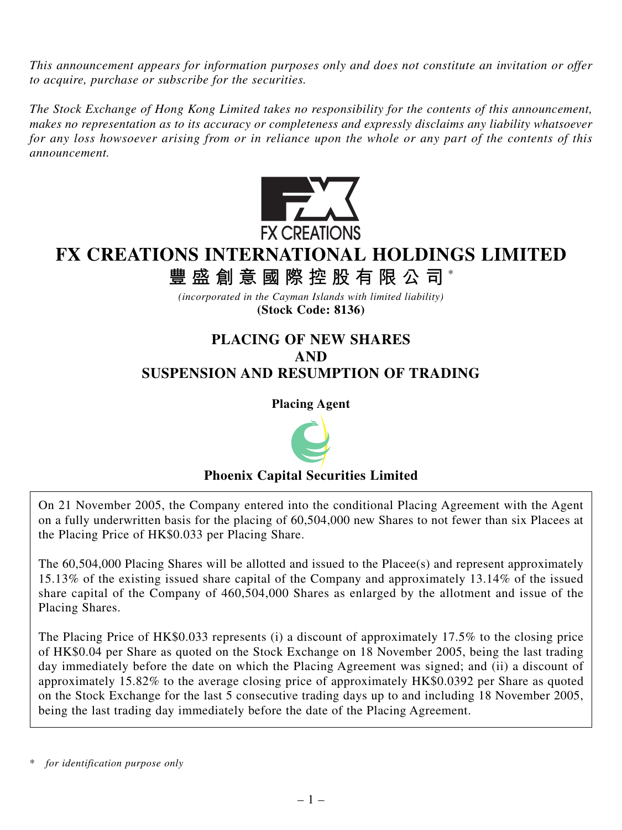*This announcement appears for information purposes only and does not constitute an invitation or offer to acquire, purchase or subscribe for the securities.*

*The Stock Exchange of Hong Kong Limited takes no responsibility for the contents of this announcement, makes no representation as to its accuracy or completeness and expressly disclaims any liability whatsoever for any loss howsoever arising from or in reliance upon the whole or any part of the contents of this announcement.*



# **FX CREATIONS INTERNATIONAL HOLDINGS LIMITED**

**豐盛創意國際控股有限公司** \*

*(incorporated in the Cayman Islands with limited liability)* **(Stock Code: 8136)**

# **PLACING OF NEW SHARES AND SUSPENSION AND RESUMPTION OF TRADING**

**Placing Agent**



# **Phoenix Capital Securities Limited**

On 21 November 2005, the Company entered into the conditional Placing Agreement with the Agent on a fully underwritten basis for the placing of 60,504,000 new Shares to not fewer than six Placees at the Placing Price of HK\$0.033 per Placing Share.

The 60,504,000 Placing Shares will be allotted and issued to the Placee(s) and represent approximately 15.13% of the existing issued share capital of the Company and approximately 13.14% of the issued share capital of the Company of 460,504,000 Shares as enlarged by the allotment and issue of the Placing Shares.

The Placing Price of HK\$0.033 represents (i) a discount of approximately 17.5% to the closing price of HK\$0.04 per Share as quoted on the Stock Exchange on 18 November 2005, being the last trading day immediately before the date on which the Placing Agreement was signed; and (ii) a discount of approximately 15.82% to the average closing price of approximately HK\$0.0392 per Share as quoted on the Stock Exchange for the last 5 consecutive trading days up to and including 18 November 2005, being the last trading day immediately before the date of the Placing Agreement.

for *identification purpose only*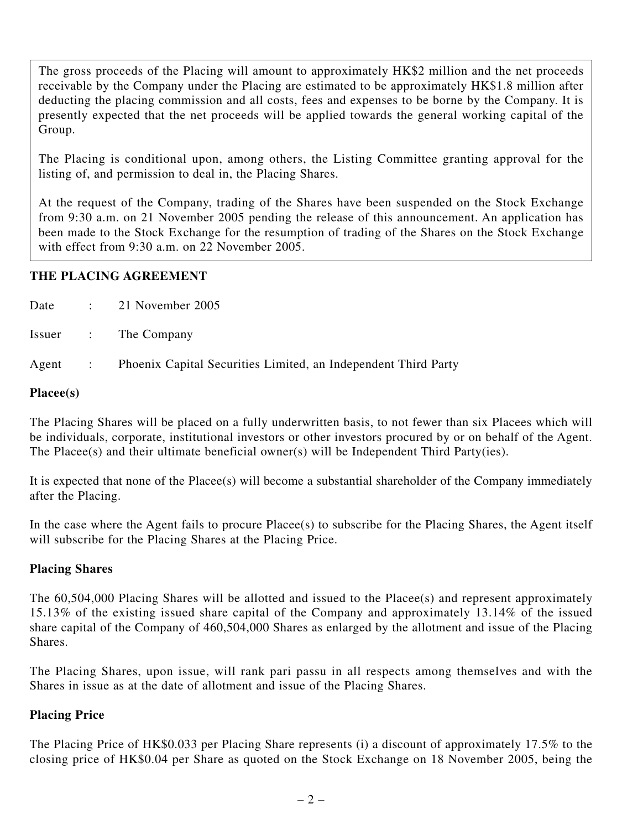The gross proceeds of the Placing will amount to approximately HK\$2 million and the net proceeds receivable by the Company under the Placing are estimated to be approximately HK\$1.8 million after deducting the placing commission and all costs, fees and expenses to be borne by the Company. It is presently expected that the net proceeds will be applied towards the general working capital of the Group.

The Placing is conditional upon, among others, the Listing Committee granting approval for the listing of, and permission to deal in, the Placing Shares.

At the request of the Company, trading of the Shares have been suspended on the Stock Exchange from 9:30 a.m. on 21 November 2005 pending the release of this announcement. An application has been made to the Stock Exchange for the resumption of trading of the Shares on the Stock Exchange with effect from 9:30 a.m. on 22 November 2005.

# **THE PLACING AGREEMENT**

|  | Date : 21 November 2005                                                |
|--|------------------------------------------------------------------------|
|  | Issuer : The Company                                                   |
|  | Agent : Phoenix Capital Securities Limited, an Independent Third Party |

#### **Placee(s)**

The Placing Shares will be placed on a fully underwritten basis, to not fewer than six Placees which will be individuals, corporate, institutional investors or other investors procured by or on behalf of the Agent. The Placee(s) and their ultimate beneficial owner(s) will be Independent Third Party(ies).

It is expected that none of the Placee(s) will become a substantial shareholder of the Company immediately after the Placing.

In the case where the Agent fails to procure Placee(s) to subscribe for the Placing Shares, the Agent itself will subscribe for the Placing Shares at the Placing Price.

# **Placing Shares**

The 60,504,000 Placing Shares will be allotted and issued to the Placee(s) and represent approximately 15.13% of the existing issued share capital of the Company and approximately 13.14% of the issued share capital of the Company of 460,504,000 Shares as enlarged by the allotment and issue of the Placing Shares.

The Placing Shares, upon issue, will rank pari passu in all respects among themselves and with the Shares in issue as at the date of allotment and issue of the Placing Shares.

# **Placing Price**

The Placing Price of HK\$0.033 per Placing Share represents (i) a discount of approximately 17.5% to the closing price of HK\$0.04 per Share as quoted on the Stock Exchange on 18 November 2005, being the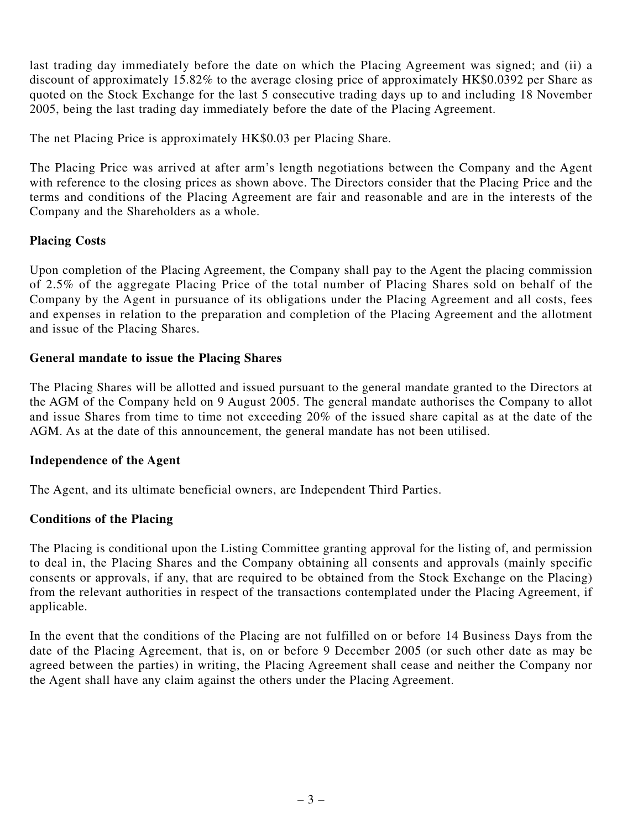last trading day immediately before the date on which the Placing Agreement was signed; and (ii) a discount of approximately 15.82% to the average closing price of approximately HK\$0.0392 per Share as quoted on the Stock Exchange for the last 5 consecutive trading days up to and including 18 November 2005, being the last trading day immediately before the date of the Placing Agreement.

The net Placing Price is approximately HK\$0.03 per Placing Share.

The Placing Price was arrived at after arm's length negotiations between the Company and the Agent with reference to the closing prices as shown above. The Directors consider that the Placing Price and the terms and conditions of the Placing Agreement are fair and reasonable and are in the interests of the Company and the Shareholders as a whole.

# **Placing Costs**

Upon completion of the Placing Agreement, the Company shall pay to the Agent the placing commission of 2.5% of the aggregate Placing Price of the total number of Placing Shares sold on behalf of the Company by the Agent in pursuance of its obligations under the Placing Agreement and all costs, fees and expenses in relation to the preparation and completion of the Placing Agreement and the allotment and issue of the Placing Shares.

#### **General mandate to issue the Placing Shares**

The Placing Shares will be allotted and issued pursuant to the general mandate granted to the Directors at the AGM of the Company held on 9 August 2005. The general mandate authorises the Company to allot and issue Shares from time to time not exceeding 20% of the issued share capital as at the date of the AGM. As at the date of this announcement, the general mandate has not been utilised.

#### **Independence of the Agent**

The Agent, and its ultimate beneficial owners, are Independent Third Parties.

# **Conditions of the Placing**

The Placing is conditional upon the Listing Committee granting approval for the listing of, and permission to deal in, the Placing Shares and the Company obtaining all consents and approvals (mainly specific consents or approvals, if any, that are required to be obtained from the Stock Exchange on the Placing) from the relevant authorities in respect of the transactions contemplated under the Placing Agreement, if applicable.

In the event that the conditions of the Placing are not fulfilled on or before 14 Business Days from the date of the Placing Agreement, that is, on or before 9 December 2005 (or such other date as may be agreed between the parties) in writing, the Placing Agreement shall cease and neither the Company nor the Agent shall have any claim against the others under the Placing Agreement.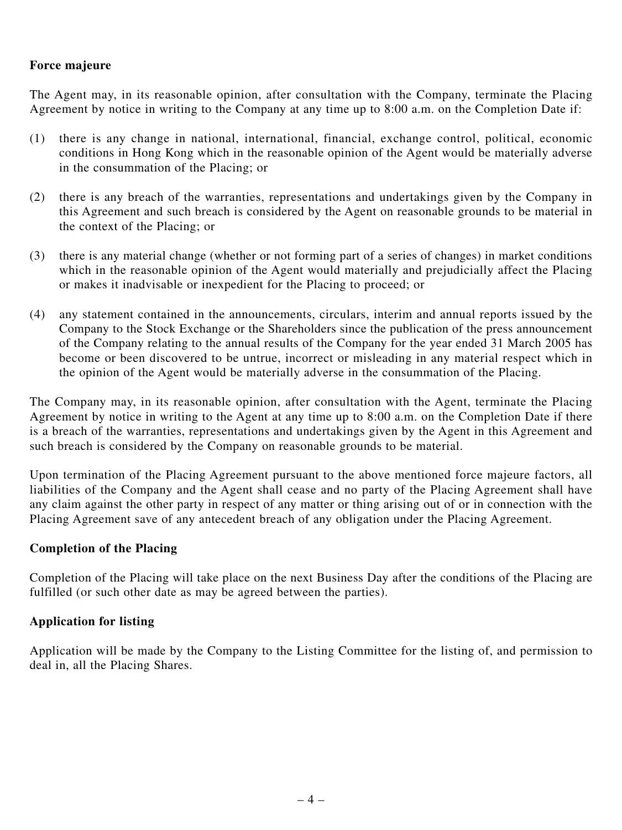# **Force majeure**

The Agent may, in its reasonable opinion, after consultation with the Company, terminate the Placing Agreement by notice in writing to the Company at any time up to 8:00 a.m. on the Completion Date if:

- (1) there is any change in national, international, financial, exchange control, political, economic conditions in Hong Kong which in the reasonable opinion of the Agent would be materially adverse in the consummation of the Placing; or
- (2) there is any breach of the warranties, representations and undertakings given by the Company in this Agreement and such breach is considered by the Agent on reasonable grounds to be material in the context of the Placing; or
- (3) there is any material change (whether or not forming part of a series of changes) in market conditions which in the reasonable opinion of the Agent would materially and prejudicially affect the Placing or makes it inadvisable or inexpedient for the Placing to proceed; or
- (4) any statement contained in the announcements, circulars, interim and annual reports issued by the Company to the Stock Exchange or the Shareholders since the publication of the press announcement of the Company relating to the annual results of the Company for the year ended 31 March 2005 has become or been discovered to be untrue, incorrect or misleading in any material respect which in the opinion of the Agent would be materially adverse in the consummation of the Placing.

The Company may, in its reasonable opinion, after consultation with the Agent, terminate the Placing Agreement by notice in writing to the Agent at any time up to 8:00 a.m. on the Completion Date if there is a breach of the warranties, representations and undertakings given by the Agent in this Agreement and such breach is considered by the Company on reasonable grounds to be material.

Upon termination of the Placing Agreement pursuant to the above mentioned force majeure factors, all liabilities of the Company and the Agent shall cease and no party of the Placing Agreement shall have any claim against the other party in respect of any matter or thing arising out of or in connection with the Placing Agreement save of any antecedent breach of any obligation under the Placing Agreement.

# **Completion of the Placing**

Completion of the Placing will take place on the next Business Day after the conditions of the Placing are fulfilled (or such other date as may be agreed between the parties).

# **Application for listing**

Application will be made by the Company to the Listing Committee for the listing of, and permission to deal in, all the Placing Shares.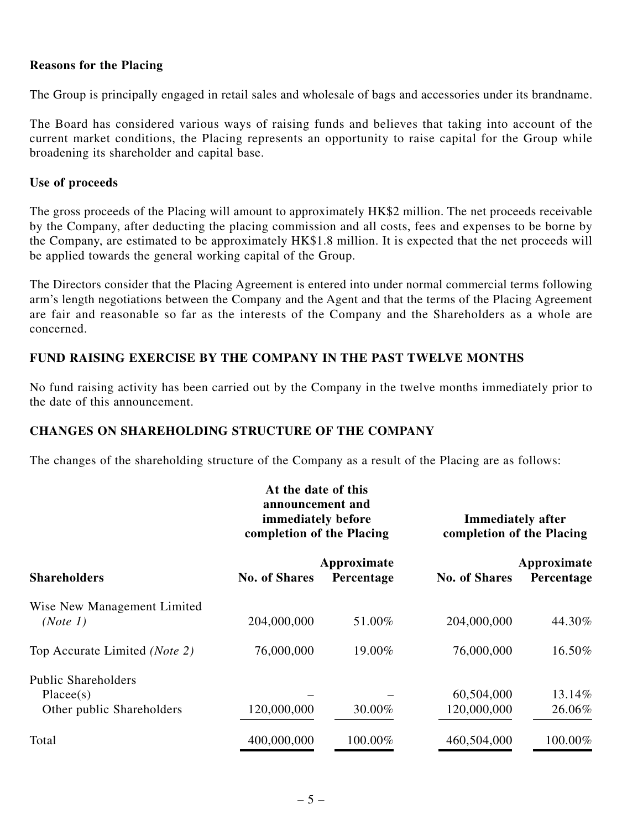#### **Reasons for the Placing**

The Group is principally engaged in retail sales and wholesale of bags and accessories under its brandname.

The Board has considered various ways of raising funds and believes that taking into account of the current market conditions, the Placing represents an opportunity to raise capital for the Group while broadening its shareholder and capital base.

#### **Use of proceeds**

The gross proceeds of the Placing will amount to approximately HK\$2 million. The net proceeds receivable by the Company, after deducting the placing commission and all costs, fees and expenses to be borne by the Company, are estimated to be approximately HK\$1.8 million. It is expected that the net proceeds will be applied towards the general working capital of the Group.

The Directors consider that the Placing Agreement is entered into under normal commercial terms following arm's length negotiations between the Company and the Agent and that the terms of the Placing Agreement are fair and reasonable so far as the interests of the Company and the Shareholders as a whole are concerned.

#### **FUND RAISING EXERCISE BY THE COMPANY IN THE PAST TWELVE MONTHS**

No fund raising activity has been carried out by the Company in the twelve months immediately prior to the date of this announcement.

#### **CHANGES ON SHAREHOLDING STRUCTURE OF THE COMPANY**

The changes of the shareholding structure of the Company as a result of the Placing are as follows:

|                                                                       | At the date of this<br>announcement and<br>immediately before<br>completion of the Placing |                           | <b>Immediately after</b><br>completion of the Placing |                           |
|-----------------------------------------------------------------------|--------------------------------------------------------------------------------------------|---------------------------|-------------------------------------------------------|---------------------------|
| <b>Shareholders</b>                                                   | <b>No. of Shares</b>                                                                       | Approximate<br>Percentage | <b>No. of Shares</b>                                  | Approximate<br>Percentage |
| Wise New Management Limited<br>(Note 1)                               | 204,000,000                                                                                | 51.00%                    | 204,000,000                                           | 44.30%                    |
| Top Accurate Limited (Note 2)                                         | 76,000,000                                                                                 | 19.00%                    | 76,000,000                                            | 16.50%                    |
| <b>Public Shareholders</b><br>Placees(s)<br>Other public Shareholders | 120,000,000                                                                                | 30.00%                    | 60,504,000<br>120,000,000                             | 13.14%<br>26.06%          |
| Total                                                                 | 400,000,000                                                                                | 100.00%                   | 460,504,000                                           | 100.00%                   |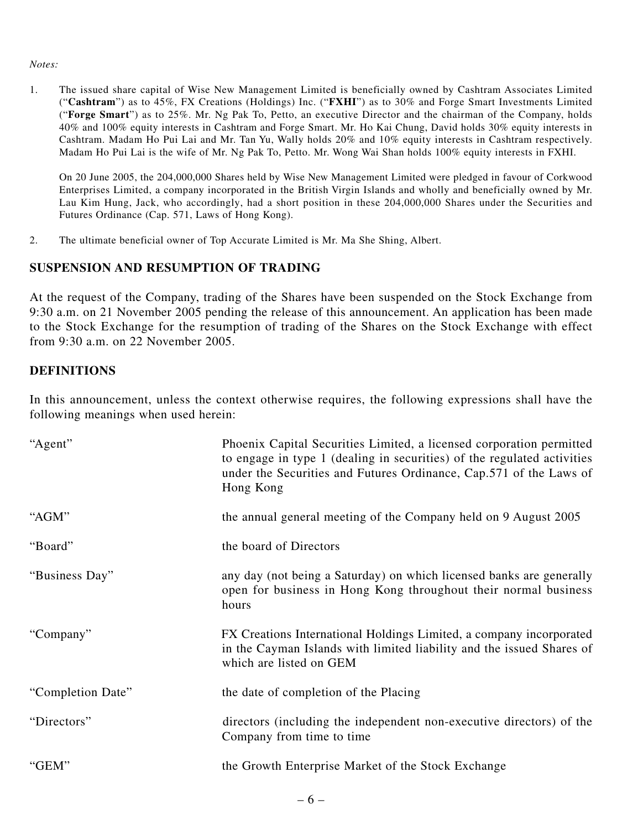#### *Notes:*

1. The issued share capital of Wise New Management Limited is beneficially owned by Cashtram Associates Limited ("**Cashtram**") as to 45%, FX Creations (Holdings) Inc. ("**FXHI**") as to 30% and Forge Smart Investments Limited ("**Forge Smart**") as to 25%. Mr. Ng Pak To, Petto, an executive Director and the chairman of the Company, holds 40% and 100% equity interests in Cashtram and Forge Smart. Mr. Ho Kai Chung, David holds 30% equity interests in Cashtram. Madam Ho Pui Lai and Mr. Tan Yu, Wally holds 20% and 10% equity interests in Cashtram respectively. Madam Ho Pui Lai is the wife of Mr. Ng Pak To, Petto. Mr. Wong Wai Shan holds 100% equity interests in FXHI.

On 20 June 2005, the 204,000,000 Shares held by Wise New Management Limited were pledged in favour of Corkwood Enterprises Limited, a company incorporated in the British Virgin Islands and wholly and beneficially owned by Mr. Lau Kim Hung, Jack, who accordingly, had a short position in these 204,000,000 Shares under the Securities and Futures Ordinance (Cap. 571, Laws of Hong Kong).

2. The ultimate beneficial owner of Top Accurate Limited is Mr. Ma She Shing, Albert.

# **SUSPENSION AND RESUMPTION OF TRADING**

At the request of the Company, trading of the Shares have been suspended on the Stock Exchange from 9:30 a.m. on 21 November 2005 pending the release of this announcement. An application has been made to the Stock Exchange for the resumption of trading of the Shares on the Stock Exchange with effect from 9:30 a.m. on 22 November 2005.

# **DEFINITIONS**

In this announcement, unless the context otherwise requires, the following expressions shall have the following meanings when used herein:

| "Agent"           | Phoenix Capital Securities Limited, a licensed corporation permitted<br>to engage in type 1 (dealing in securities) of the regulated activities<br>under the Securities and Futures Ordinance, Cap.571 of the Laws of<br>Hong Kong |
|-------------------|------------------------------------------------------------------------------------------------------------------------------------------------------------------------------------------------------------------------------------|
| "AGM"             | the annual general meeting of the Company held on 9 August 2005                                                                                                                                                                    |
| "Board"           | the board of Directors                                                                                                                                                                                                             |
| "Business Day"    | any day (not being a Saturday) on which licensed banks are generally<br>open for business in Hong Kong throughout their normal business<br>hours                                                                                   |
| "Company"         | FX Creations International Holdings Limited, a company incorporated<br>in the Cayman Islands with limited liability and the issued Shares of<br>which are listed on GEM                                                            |
| "Completion Date" | the date of completion of the Placing                                                                                                                                                                                              |
| "Directors"       | directors (including the independent non-executive directors) of the<br>Company from time to time                                                                                                                                  |
| "GEM"             | the Growth Enterprise Market of the Stock Exchange                                                                                                                                                                                 |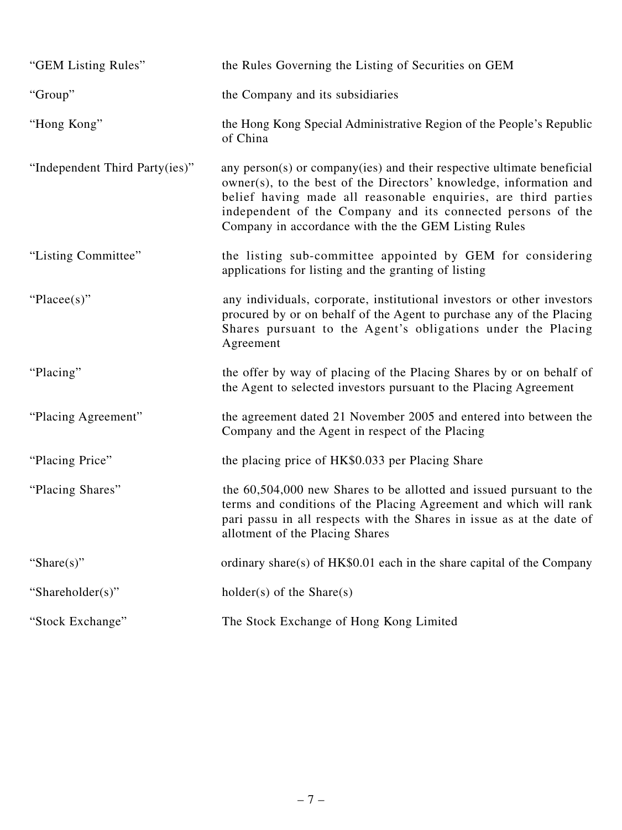| "GEM Listing Rules"            | the Rules Governing the Listing of Securities on GEM                                                                                                                                                                                                                                                                                  |
|--------------------------------|---------------------------------------------------------------------------------------------------------------------------------------------------------------------------------------------------------------------------------------------------------------------------------------------------------------------------------------|
| "Group"                        | the Company and its subsidiaries                                                                                                                                                                                                                                                                                                      |
| "Hong Kong"                    | the Hong Kong Special Administrative Region of the People's Republic<br>of China                                                                                                                                                                                                                                                      |
| "Independent Third Party(ies)" | any person(s) or company(ies) and their respective ultimate beneficial<br>owner(s), to the best of the Directors' knowledge, information and<br>belief having made all reasonable enquiries, are third parties<br>independent of the Company and its connected persons of the<br>Company in accordance with the the GEM Listing Rules |
| "Listing Committee"            | the listing sub-committee appointed by GEM for considering<br>applications for listing and the granting of listing                                                                                                                                                                                                                    |
| "Placee(s)"                    | any individuals, corporate, institutional investors or other investors<br>procured by or on behalf of the Agent to purchase any of the Placing<br>Shares pursuant to the Agent's obligations under the Placing<br>Agreement                                                                                                           |
| "Placing"                      | the offer by way of placing of the Placing Shares by or on behalf of<br>the Agent to selected investors pursuant to the Placing Agreement                                                                                                                                                                                             |
| "Placing Agreement"            | the agreement dated 21 November 2005 and entered into between the<br>Company and the Agent in respect of the Placing                                                                                                                                                                                                                  |
| "Placing Price"                | the placing price of HK\$0.033 per Placing Share                                                                                                                                                                                                                                                                                      |
| "Placing Shares"               | the 60,504,000 new Shares to be allotted and issued pursuant to the<br>terms and conditions of the Placing Agreement and which will rank<br>pari passu in all respects with the Shares in issue as at the date of<br>allotment of the Placing Shares                                                                                  |
| "Share $(s)$ "                 | ordinary share(s) of HK\$0.01 each in the share capital of the Company                                                                                                                                                                                                                                                                |
| "Shareholder(s)"               | $holder(s)$ of the Share $(s)$                                                                                                                                                                                                                                                                                                        |
| "Stock Exchange"               | The Stock Exchange of Hong Kong Limited                                                                                                                                                                                                                                                                                               |